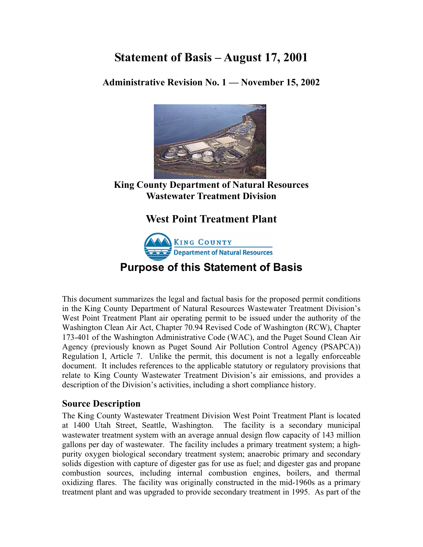# **Statement of Basis – August 17, 2001**

**Administrative Revision No. 1 — November 15, 2002**



**King County Department of Natural Resources Wastewater Treatment Division** 

## **West Point Treatment Plant**



**Purpose of this Statement of Basis** 

This document summarizes the legal and factual basis for the proposed permit conditions in the King County Department of Natural Resources Wastewater Treatment Division's West Point Treatment Plant air operating permit to be issued under the authority of the Washington Clean Air Act, Chapter 70.94 Revised Code of Washington (RCW), Chapter 173-401 of the Washington Administrative Code (WAC), and the Puget Sound Clean Air Agency (previously known as Puget Sound Air Pollution Control Agency (PSAPCA)) Regulation I, Article 7. Unlike the permit, this document is not a legally enforceable document. It includes references to the applicable statutory or regulatory provisions that relate to King County Wastewater Treatment Division's air emissions, and provides a description of the Division's activities, including a short compliance history.

## **Source Description**

The King County Wastewater Treatment Division West Point Treatment Plant is located at 1400 Utah Street, Seattle, Washington. The facility is a secondary municipal wastewater treatment system with an average annual design flow capacity of 143 million gallons per day of wastewater. The facility includes a primary treatment system; a highpurity oxygen biological secondary treatment system; anaerobic primary and secondary solids digestion with capture of digester gas for use as fuel; and digester gas and propane combustion sources, including internal combustion engines, boilers, and thermal oxidizing flares. The facility was originally constructed in the mid-1960s as a primary treatment plant and was upgraded to provide secondary treatment in 1995. As part of the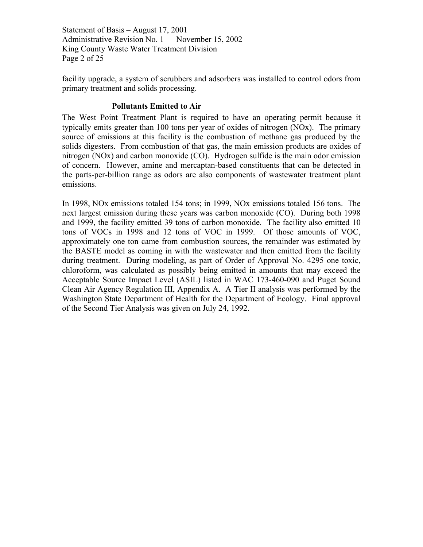Statement of Basis – August 17, 2001 Administrative Revision No. 1 — November 15, 2002 King County Waste Water Treatment Division Page 2 of 25

facility upgrade, a system of scrubbers and adsorbers was installed to control odors from primary treatment and solids processing.

#### **Pollutants Emitted to Air**

The West Point Treatment Plant is required to have an operating permit because it typically emits greater than 100 tons per year of oxides of nitrogen (NOx). The primary source of emissions at this facility is the combustion of methane gas produced by the solids digesters. From combustion of that gas, the main emission products are oxides of nitrogen (NOx) and carbon monoxide (CO). Hydrogen sulfide is the main odor emission of concern. However, amine and mercaptan-based constituents that can be detected in the parts-per-billion range as odors are also components of wastewater treatment plant emissions.

In 1998, NOx emissions totaled 154 tons; in 1999, NOx emissions totaled 156 tons. The next largest emission during these years was carbon monoxide (CO). During both 1998 and 1999, the facility emitted 39 tons of carbon monoxide. The facility also emitted 10 tons of VOCs in 1998 and 12 tons of VOC in 1999. Of those amounts of VOC, approximately one ton came from combustion sources, the remainder was estimated by the BASTE model as coming in with the wastewater and then emitted from the facility during treatment. During modeling, as part of Order of Approval No. 4295 one toxic, chloroform, was calculated as possibly being emitted in amounts that may exceed the Acceptable Source Impact Level (ASIL) listed in WAC 173-460-090 and Puget Sound Clean Air Agency Regulation III, Appendix A. A Tier II analysis was performed by the Washington State Department of Health for the Department of Ecology. Final approval of the Second Tier Analysis was given on July 24, 1992.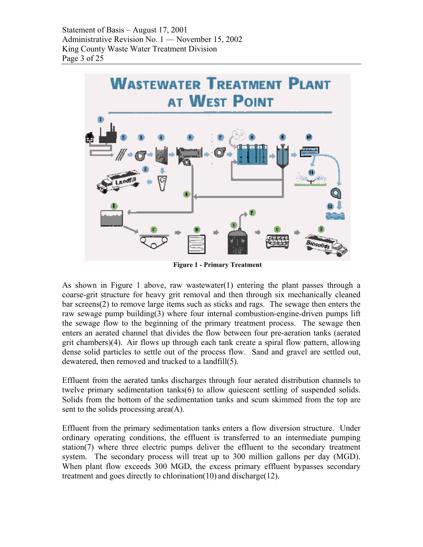

**Figure 1 - Primary Treatment**

As shown in Figure 1 above, raw wastewater(1) entering the plant passes through a coarse-grit structure for heavy grit removal and then through six mechanically cleaned bar screens(2) to remove large items such as sticks and rags. The sewage then enters the raw sewage pump building(3) where four internal combustion-engine-driven pumps lift the sewage flow to the beginning of the primary treatment process. The sewage then enters an aerated channel that divides the flow between four pre-aeration tanks (aerated grit chambers)(4). Air flows up through each tank create a spiral flow pattern, allowing dense solid particles to settle out of the process flow. Sand and gravel are settled out, dewatered, then removed and trucked to a landfill(5).

Effluent from the aerated tanks discharges through four aerated distribution channels to twelve primary sedimentation tanks(6) to allow quiescent settling of suspended solids. Solids from the bottom of the sedimentation tanks and scum skimmed from the top are sent to the solids processing area(A).

Effluent from the primary sedimentation tanks enters a flow diversion structure. Under ordinary operating conditions, the effluent is transferred to an intermediate pumping station( $7$ ) where three electric pumps deliver the effluent to the secondary treatment system. The secondary process will treat up to 300 million gallons per day (MGD). When plant flow exceeds 300 MGD, the excess primary effluent bypasses secondary treatment and goes directly to chlorination(10) and discharge(12).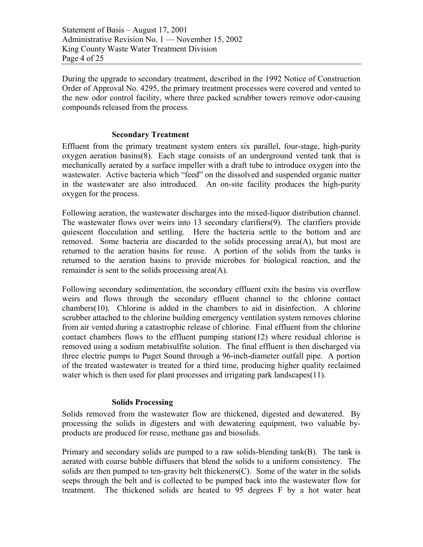Statement of Basis – August 17, 2001 Administrative Revision No. 1 — November 15, 2002 King County Waste Water Treatment Division Page 4 of 25

During the upgrade to secondary treatment, described in the 1992 Notice of Construction Order of Approval No. 4295, the primary treatment processes were covered and vented to the new odor control facility, where three packed scrubber towers remove odor-causing compounds released from the process.

#### **Secondary Treatment**

Effluent from the primary treatment system enters six parallel, four-stage, high-purity oxygen aeration basins(8). Each stage consists of an underground vented tank that is mechanically aerated by a surface impeller with a draft tube to introduce oxygen into the wastewater. Active bacteria which "feed" on the dissolved and suspended organic matter in the wastewater are also introduced. An on-site facility produces the high-purity oxygen for the process.

Following aeration, the wastewater discharges into the mixed-liquor distribution channel. The wastewater flows over weirs into 13 secondary clarifiers(9). The clarifiers provide quiescent flocculation and settling. Here the bacteria settle to the bottom and are removed. Some bacteria are discarded to the solids processing area(A), but most are returned to the aeration basins for reuse. A portion of the solids from the tanks is returned to the aeration basins to provide microbes for biological reaction, and the remainder is sent to the solids processing area(A).

Following secondary sedimentation, the secondary effluent exits the basins via overflow weirs and flows through the secondary effluent channel to the chlorine contact chambers(10). Chlorine is added in the chambers to aid in disinfection. A chlorine scrubber attached to the chlorine building emergency ventilation system removes chlorine from air vented during a catastrophic release of chlorine. Final effluent from the chlorine contact chambers flows to the effluent pumping station(12) where residual chlorine is removed using a sodium metabisulfite solution. The final effluent is then discharged via three electric pumps to Puget Sound through a 96-inch-diameter outfall pipe. A portion of the treated wastewater is treated for a third time, producing higher quality reclaimed water which is then used for plant processes and irrigating park landscapes (11).

#### **Solids Processing**

Solids removed from the wastewater flow are thickened, digested and dewatered. By processing the solids in digesters and with dewatering equipment, two valuable byproducts are produced for reuse, methane gas and biosolids.

Primary and secondary solids are pumped to a raw solids-blending tank(B). The tank is aerated with coarse bubble diffusers that blend the solids to a uniform consistency. The solids are then pumped to ten-gravity belt thickeners( $C$ ). Some of the water in the solids seeps through the belt and is collected to be pumped back into the wastewater flow for treatment. The thickened solids are heated to 95 degrees F by a hot water heat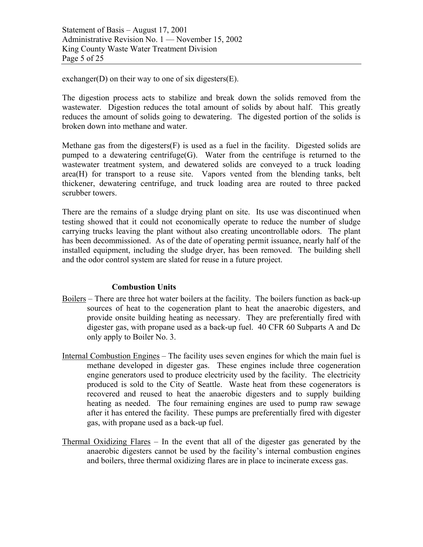exchanger(D) on their way to one of six digesters(E).

The digestion process acts to stabilize and break down the solids removed from the wastewater. Digestion reduces the total amount of solids by about half. This greatly reduces the amount of solids going to dewatering. The digested portion of the solids is broken down into methane and water.

Methane gas from the digesters  $(F)$  is used as a fuel in the facility. Digested solids are pumped to a dewatering centrifuge(G). Water from the centrifuge is returned to the wastewater treatment system, and dewatered solids are conveyed to a truck loading area(H) for transport to a reuse site. Vapors vented from the blending tanks, belt thickener, dewatering centrifuge, and truck loading area are routed to three packed scrubber towers.

There are the remains of a sludge drying plant on site. Its use was discontinued when testing showed that it could not economically operate to reduce the number of sludge carrying trucks leaving the plant without also creating uncontrollable odors. The plant has been decommissioned. As of the date of operating permit issuance, nearly half of the installed equipment, including the sludge dryer, has been removed. The building shell and the odor control system are slated for reuse in a future project.

#### **Combustion Units**

- Boilers There are three hot water boilers at the facility. The boilers function as back-up sources of heat to the cogeneration plant to heat the anaerobic digesters, and provide onsite building heating as necessary. They are preferentially fired with digester gas, with propane used as a back-up fuel. 40 CFR 60 Subparts A and Dc only apply to Boiler No. 3.
- Internal Combustion Engines The facility uses seven engines for which the main fuel is methane developed in digester gas. These engines include three cogeneration engine generators used to produce electricity used by the facility. The electricity produced is sold to the City of Seattle. Waste heat from these cogenerators is recovered and reused to heat the anaerobic digesters and to supply building heating as needed. The four remaining engines are used to pump raw sewage after it has entered the facility. These pumps are preferentially fired with digester gas, with propane used as a back-up fuel.
- Thermal Oxidizing Flares In the event that all of the digester gas generated by the anaerobic digesters cannot be used by the facility's internal combustion engines and boilers, three thermal oxidizing flares are in place to incinerate excess gas.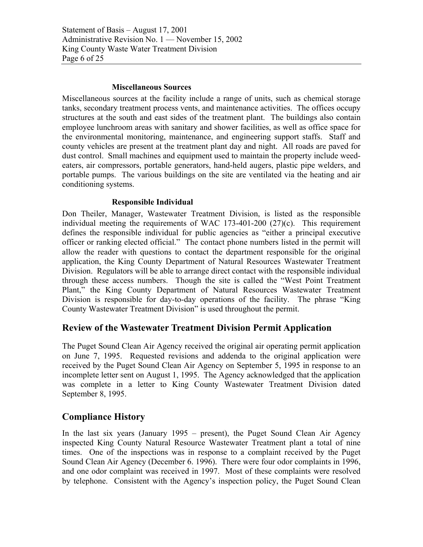Statement of Basis – August 17, 2001 Administrative Revision No. 1 — November 15, 2002 King County Waste Water Treatment Division Page 6 of 25

#### **Miscellaneous Sources**

Miscellaneous sources at the facility include a range of units, such as chemical storage tanks, secondary treatment process vents, and maintenance activities. The offices occupy structures at the south and east sides of the treatment plant. The buildings also contain employee lunchroom areas with sanitary and shower facilities, as well as office space for the environmental monitoring, maintenance, and engineering support staffs. Staff and county vehicles are present at the treatment plant day and night. All roads are paved for dust control. Small machines and equipment used to maintain the property include weedeaters, air compressors, portable generators, hand-held augers, plastic pipe welders, and portable pumps. The various buildings on the site are ventilated via the heating and air conditioning systems.

#### **Responsible Individual**

Don Theiler, Manager, Wastewater Treatment Division, is listed as the responsible individual meeting the requirements of WAC 173-401-200 (27)(c). This requirement defines the responsible individual for public agencies as "either a principal executive officer or ranking elected official." The contact phone numbers listed in the permit will allow the reader with questions to contact the department responsible for the original application, the King County Department of Natural Resources Wastewater Treatment Division. Regulators will be able to arrange direct contact with the responsible individual through these access numbers. Though the site is called the "West Point Treatment Plant," the King County Department of Natural Resources Wastewater Treatment Division is responsible for day-to-day operations of the facility. The phrase "King County Wastewater Treatment Division" is used throughout the permit.

### **Review of the Wastewater Treatment Division Permit Application**

The Puget Sound Clean Air Agency received the original air operating permit application on June 7, 1995. Requested revisions and addenda to the original application were received by the Puget Sound Clean Air Agency on September 5, 1995 in response to an incomplete letter sent on August 1, 1995. The Agency acknowledged that the application was complete in a letter to King County Wastewater Treatment Division dated September 8, 1995.

### **Compliance History**

In the last six years (January 1995 – present), the Puget Sound Clean Air Agency inspected King County Natural Resource Wastewater Treatment plant a total of nine times. One of the inspections was in response to a complaint received by the Puget Sound Clean Air Agency (December 6. 1996). There were four odor complaints in 1996, and one odor complaint was received in 1997. Most of these complaints were resolved by telephone. Consistent with the Agency's inspection policy, the Puget Sound Clean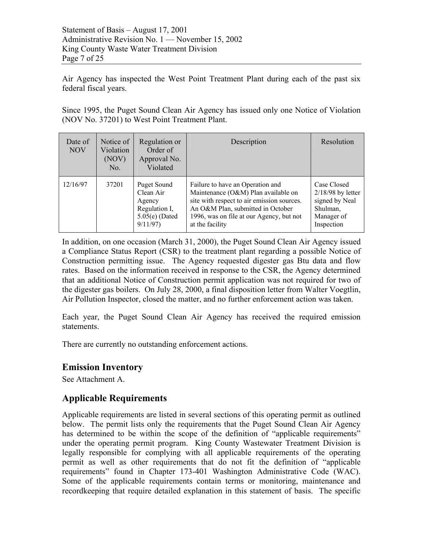Air Agency has inspected the West Point Treatment Plant during each of the past six federal fiscal years.

Since 1995, the Puget Sound Clean Air Agency has issued only one Notice of Violation (NOV No. 37201) to West Point Treatment Plant.

| Date of<br><b>NOV</b> | Notice of<br>Violation<br>(NOV)<br>No. | Regulation or<br>Order of<br>Approval No.<br>Violated                              | Description                                                                                                                                                                                                               | Resolution                                                                                   |
|-----------------------|----------------------------------------|------------------------------------------------------------------------------------|---------------------------------------------------------------------------------------------------------------------------------------------------------------------------------------------------------------------------|----------------------------------------------------------------------------------------------|
| 12/16/97              | 37201                                  | Puget Sound<br>Clean Air<br>Agency<br>Regulation I,<br>$5.05(e)$ (Dated<br>9/11/97 | Failure to have an Operation and<br>Maintenance (O&M) Plan available on<br>site with respect to air emission sources.<br>An O&M Plan, submitted in October<br>1996, was on file at our Agency, but not<br>at the facility | Case Closed<br>$2/18/98$ by letter<br>signed by Neal<br>Shulman,<br>Manager of<br>Inspection |

In addition, on one occasion (March 31, 2000), the Puget Sound Clean Air Agency issued a Compliance Status Report (CSR) to the treatment plant regarding a possible Notice of Construction permitting issue. The Agency requested digester gas Btu data and flow rates. Based on the information received in response to the CSR, the Agency determined that an additional Notice of Construction permit application was not required for two of the digester gas boilers. On July 28, 2000, a final disposition letter from Walter Voegtlin, Air Pollution Inspector, closed the matter, and no further enforcement action was taken.

Each year, the Puget Sound Clean Air Agency has received the required emission statements.

There are currently no outstanding enforcement actions.

### **Emission Inventory**

See Attachment A.

## **Applicable Requirements**

Applicable requirements are listed in several sections of this operating permit as outlined below. The permit lists only the requirements that the Puget Sound Clean Air Agency has determined to be within the scope of the definition of "applicable requirements" under the operating permit program. King County Wastewater Treatment Division is legally responsible for complying with all applicable requirements of the operating permit as well as other requirements that do not fit the definition of "applicable requirements" found in Chapter 173-401 Washington Administrative Code (WAC). Some of the applicable requirements contain terms or monitoring, maintenance and recordkeeping that require detailed explanation in this statement of basis. The specific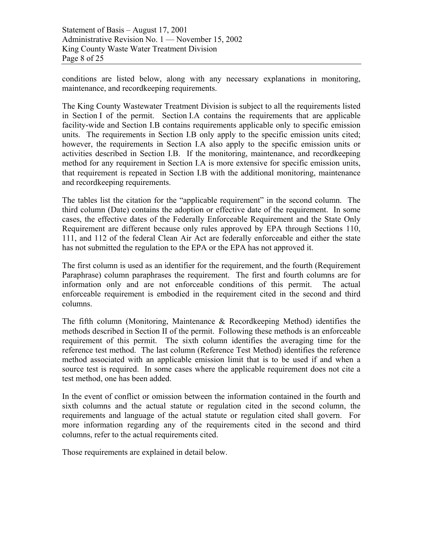conditions are listed below, along with any necessary explanations in monitoring, maintenance, and recordkeeping requirements.

The King County Wastewater Treatment Division is subject to all the requirements listed in Section I of the permit. Section I.A contains the requirements that are applicable facility-wide and Section I.B contains requirements applicable only to specific emission units. The requirements in Section I.B only apply to the specific emission units cited; however, the requirements in Section I.A also apply to the specific emission units or activities described in Section I.B. If the monitoring, maintenance, and recordkeeping method for any requirement in Section I.A is more extensive for specific emission units, that requirement is repeated in Section I.B with the additional monitoring, maintenance and recordkeeping requirements.

The tables list the citation for the "applicable requirement" in the second column. The third column (Date) contains the adoption or effective date of the requirement. In some cases, the effective dates of the Federally Enforceable Requirement and the State Only Requirement are different because only rules approved by EPA through Sections 110, 111, and 112 of the federal Clean Air Act are federally enforceable and either the state has not submitted the regulation to the EPA or the EPA has not approved it.

The first column is used as an identifier for the requirement, and the fourth (Requirement Paraphrase) column paraphrases the requirement. The first and fourth columns are for information only and are not enforceable conditions of this permit. The actual enforceable requirement is embodied in the requirement cited in the second and third columns.

The fifth column (Monitoring, Maintenance & Recordkeeping Method) identifies the methods described in Section II of the permit. Following these methods is an enforceable requirement of this permit. The sixth column identifies the averaging time for the reference test method. The last column (Reference Test Method) identifies the reference method associated with an applicable emission limit that is to be used if and when a source test is required. In some cases where the applicable requirement does not cite a test method, one has been added.

In the event of conflict or omission between the information contained in the fourth and sixth columns and the actual statute or regulation cited in the second column, the requirements and language of the actual statute or regulation cited shall govern. For more information regarding any of the requirements cited in the second and third columns, refer to the actual requirements cited.

Those requirements are explained in detail below.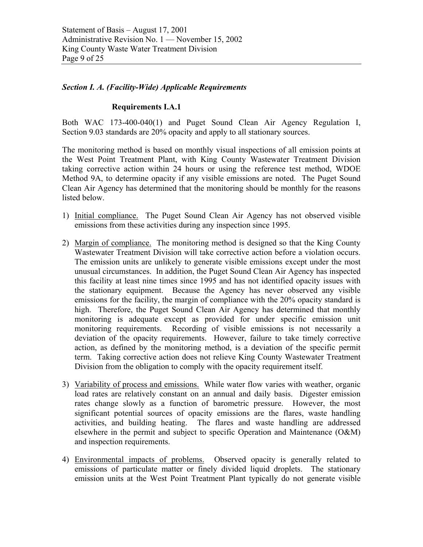#### *Section I. A. (Facility-Wide) Applicable Requirements*

#### **Requirements I.A.1**

Both WAC 173-400-040(1) and Puget Sound Clean Air Agency Regulation I, Section 9.03 standards are 20% opacity and apply to all stationary sources.

The monitoring method is based on monthly visual inspections of all emission points at the West Point Treatment Plant, with King County Wastewater Treatment Division taking corrective action within 24 hours or using the reference test method, WDOE Method 9A, to determine opacity if any visible emissions are noted. The Puget Sound Clean Air Agency has determined that the monitoring should be monthly for the reasons listed below.

- 1) Initial compliance. The Puget Sound Clean Air Agency has not observed visible emissions from these activities during any inspection since 1995.
- 2) Margin of compliance. The monitoring method is designed so that the King County Wastewater Treatment Division will take corrective action before a violation occurs. The emission units are unlikely to generate visible emissions except under the most unusual circumstances. In addition, the Puget Sound Clean Air Agency has inspected this facility at least nine times since 1995 and has not identified opacity issues with the stationary equipment. Because the Agency has never observed any visible emissions for the facility, the margin of compliance with the 20% opacity standard is high. Therefore, the Puget Sound Clean Air Agency has determined that monthly monitoring is adequate except as provided for under specific emission unit monitoring requirements. Recording of visible emissions is not necessarily a deviation of the opacity requirements. However, failure to take timely corrective action, as defined by the monitoring method, is a deviation of the specific permit term. Taking corrective action does not relieve King County Wastewater Treatment Division from the obligation to comply with the opacity requirement itself.
- 3) Variability of process and emissions. While water flow varies with weather, organic load rates are relatively constant on an annual and daily basis. Digester emission rates change slowly as a function of barometric pressure. However, the most significant potential sources of opacity emissions are the flares, waste handling activities, and building heating. The flares and waste handling are addressed elsewhere in the permit and subject to specific Operation and Maintenance (O&M) and inspection requirements.
- 4) Environmental impacts of problems. Observed opacity is generally related to emissions of particulate matter or finely divided liquid droplets. The stationary emission units at the West Point Treatment Plant typically do not generate visible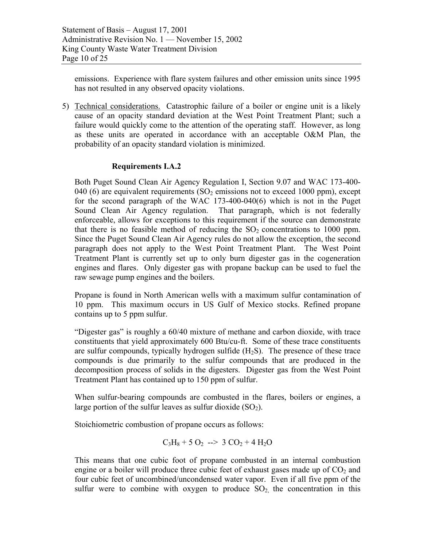emissions. Experience with flare system failures and other emission units since 1995 has not resulted in any observed opacity violations.

5) Technical considerations. Catastrophic failure of a boiler or engine unit is a likely cause of an opacity standard deviation at the West Point Treatment Plant; such a failure would quickly come to the attention of the operating staff. However, as long as these units are operated in accordance with an acceptable O&M Plan, the probability of an opacity standard violation is minimized.

#### **Requirements I.A.2**

Both Puget Sound Clean Air Agency Regulation I, Section 9.07 and WAC 173-400- 040 (6) are equivalent requirements (SO<sub>2</sub> emissions not to exceed 1000 ppm), except for the second paragraph of the WAC 173-400-040(6) which is not in the Puget Sound Clean Air Agency regulation. That paragraph, which is not federally enforceable, allows for exceptions to this requirement if the source can demonstrate that there is no feasible method of reducing the  $SO<sub>2</sub>$  concentrations to 1000 ppm. Since the Puget Sound Clean Air Agency rules do not allow the exception, the second paragraph does not apply to the West Point Treatment Plant. The West Point Treatment Plant is currently set up to only burn digester gas in the cogeneration engines and flares. Only digester gas with propane backup can be used to fuel the raw sewage pump engines and the boilers.

Propane is found in North American wells with a maximum sulfur contamination of 10 ppm. This maximum occurs in US Gulf of Mexico stocks. Refined propane contains up to 5 ppm sulfur.

"Digester gas" is roughly a 60/40 mixture of methane and carbon dioxide, with trace constituents that yield approximately 600 Btu/cu-ft. Some of these trace constituents are sulfur compounds, typically hydrogen sulfide  $(H_2S)$ . The presence of these trace compounds is due primarily to the sulfur compounds that are produced in the decomposition process of solids in the digesters. Digester gas from the West Point Treatment Plant has contained up to 150 ppm of sulfur.

When sulfur-bearing compounds are combusted in the flares, boilers or engines, a large portion of the sulfur leaves as sulfur dioxide  $(SO<sub>2</sub>)$ .

Stoichiometric combustion of propane occurs as follows:

$$
C_3H_8 + 5 O_2 \ \text{--} > \ 3 CO_2 + 4 H_2O
$$

This means that one cubic foot of propane combusted in an internal combustion engine or a boiler will produce three cubic feet of exhaust gases made up of  $CO<sub>2</sub>$  and four cubic feet of uncombined/uncondensed water vapor. Even if all five ppm of the sulfur were to combine with oxygen to produce  $SO<sub>2</sub>$  the concentration in this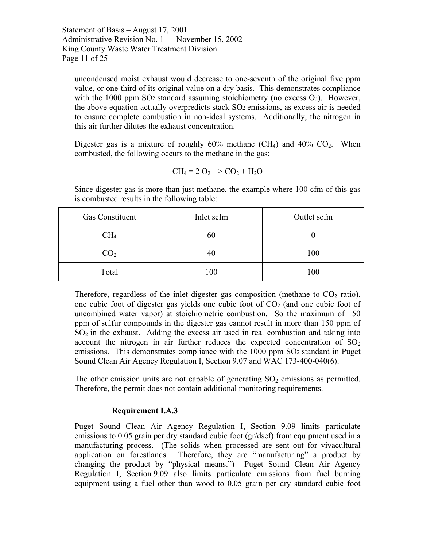uncondensed moist exhaust would decrease to one-seventh of the original five ppm value, or one-third of its original value on a dry basis. This demonstrates compliance with the 1000 ppm SO<sub>2</sub> standard assuming stoichiometry (no excess  $O_2$ ). However, the above equation actually overpredicts stack SO2 emissions, as excess air is needed to ensure complete combustion in non-ideal systems. Additionally, the nitrogen in this air further dilutes the exhaust concentration.

Digester gas is a mixture of roughly  $60\%$  methane (CH<sub>4</sub>) and  $40\%$  CO<sub>2</sub>. When combusted, the following occurs to the methane in the gas:

$$
CH_4 = 2 O_2
$$
 -->  $CO_2 + H_2O$ 

Since digester gas is more than just methane, the example where 100 cfm of this gas is combusted results in the following table:

| <b>Gas Constituent</b> | Inlet scfm | Outlet scfm |
|------------------------|------------|-------------|
| CH4                    | 60         |             |
| CO <sub>2</sub>        | 40         | 100         |
| Total                  | 100        | 100         |

Therefore, regardless of the inlet digester gas composition (methane to  $CO<sub>2</sub>$  ratio), one cubic foot of digester gas yields one cubic foot of  $CO<sub>2</sub>$  (and one cubic foot of uncombined water vapor) at stoichiometric combustion. So the maximum of 150 ppm of sulfur compounds in the digester gas cannot result in more than 150 ppm of  $SO<sub>2</sub>$  in the exhaust. Adding the excess air used in real combustion and taking into account the nitrogen in air further reduces the expected concentration of  $SO<sub>2</sub>$ emissions. This demonstrates compliance with the 1000 ppm SO2 standard in Puget Sound Clean Air Agency Regulation I, Section 9.07 and WAC 173-400-040(6).

The other emission units are not capable of generating  $SO<sub>2</sub>$  emissions as permitted. Therefore, the permit does not contain additional monitoring requirements.

#### **Requirement I.A.3**

Puget Sound Clean Air Agency Regulation I, Section 9.09 limits particulate emissions to 0.05 grain per dry standard cubic foot (gr/dscf) from equipment used in a manufacturing process. (The solids when processed are sent out for vivacultural application on forestlands. Therefore, they are "manufacturing" a product by changing the product by "physical means.") Puget Sound Clean Air Agency Regulation I, Section 9.09 also limits particulate emissions from fuel burning equipment using a fuel other than wood to 0.05 grain per dry standard cubic foot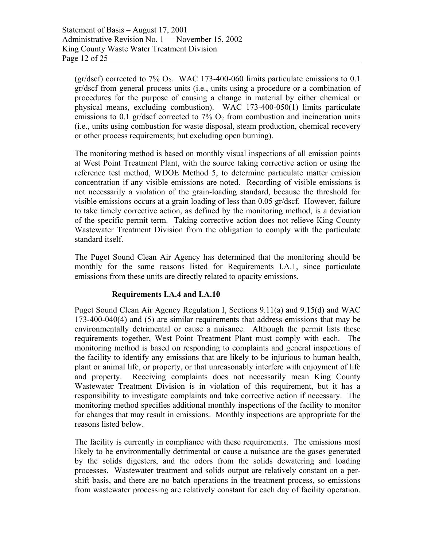(gr/dscf) corrected to 7%  $O_2$ . WAC 173-400-060 limits particulate emissions to 0.1 gr/dscf from general process units (i.e., units using a procedure or a combination of procedures for the purpose of causing a change in material by either chemical or physical means, excluding combustion). WAC 173-400-050(1) limits particulate emissions to 0.1 gr/dscf corrected to  $7\%$  O<sub>2</sub> from combustion and incineration units (i.e., units using combustion for waste disposal, steam production, chemical recovery or other process requirements; but excluding open burning).

The monitoring method is based on monthly visual inspections of all emission points at West Point Treatment Plant, with the source taking corrective action or using the reference test method, WDOE Method 5, to determine particulate matter emission concentration if any visible emissions are noted. Recording of visible emissions is not necessarily a violation of the grain-loading standard, because the threshold for visible emissions occurs at a grain loading of less than 0.05 gr/dscf. However, failure to take timely corrective action, as defined by the monitoring method, is a deviation of the specific permit term. Taking corrective action does not relieve King County Wastewater Treatment Division from the obligation to comply with the particulate standard itself.

The Puget Sound Clean Air Agency has determined that the monitoring should be monthly for the same reasons listed for Requirements I.A.1, since particulate emissions from these units are directly related to opacity emissions.

#### **Requirements I.A.4 and I.A.10**

Puget Sound Clean Air Agency Regulation I, Sections 9.11(a) and 9.15(d) and WAC 173-400-040(4) and (5) are similar requirements that address emissions that may be environmentally detrimental or cause a nuisance. Although the permit lists these requirements together, West Point Treatment Plant must comply with each. The monitoring method is based on responding to complaints and general inspections of the facility to identify any emissions that are likely to be injurious to human health, plant or animal life, or property, or that unreasonably interfere with enjoyment of life and property. Receiving complaints does not necessarily mean King County Wastewater Treatment Division is in violation of this requirement, but it has a responsibility to investigate complaints and take corrective action if necessary. The monitoring method specifies additional monthly inspections of the facility to monitor for changes that may result in emissions. Monthly inspections are appropriate for the reasons listed below.

The facility is currently in compliance with these requirements. The emissions most likely to be environmentally detrimental or cause a nuisance are the gases generated by the solids digesters, and the odors from the solids dewatering and loading processes. Wastewater treatment and solids output are relatively constant on a pershift basis, and there are no batch operations in the treatment process, so emissions from wastewater processing are relatively constant for each day of facility operation.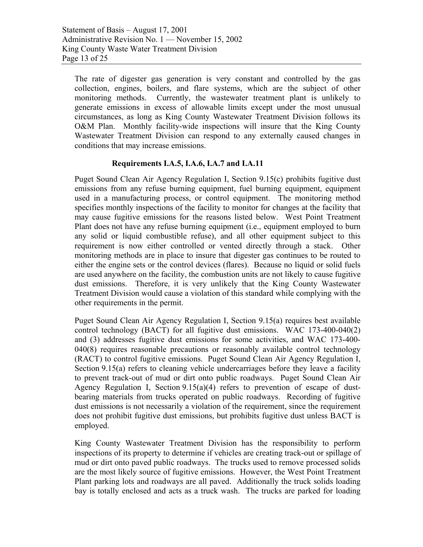The rate of digester gas generation is very constant and controlled by the gas collection, engines, boilers, and flare systems, which are the subject of other monitoring methods. Currently, the wastewater treatment plant is unlikely to generate emissions in excess of allowable limits except under the most unusual circumstances, as long as King County Wastewater Treatment Division follows its O&M Plan. Monthly facility-wide inspections will insure that the King County Wastewater Treatment Division can respond to any externally caused changes in conditions that may increase emissions.

#### **Requirements I.A.5, I.A.6, I.A.7 and I.A.11**

Puget Sound Clean Air Agency Regulation I, Section 9.15(c) prohibits fugitive dust emissions from any refuse burning equipment, fuel burning equipment, equipment used in a manufacturing process, or control equipment. The monitoring method specifies monthly inspections of the facility to monitor for changes at the facility that may cause fugitive emissions for the reasons listed below. West Point Treatment Plant does not have any refuse burning equipment (i.e., equipment employed to burn any solid or liquid combustible refuse), and all other equipment subject to this requirement is now either controlled or vented directly through a stack. Other monitoring methods are in place to insure that digester gas continues to be routed to either the engine sets or the control devices (flares). Because no liquid or solid fuels are used anywhere on the facility, the combustion units are not likely to cause fugitive dust emissions. Therefore, it is very unlikely that the King County Wastewater Treatment Division would cause a violation of this standard while complying with the other requirements in the permit.

Puget Sound Clean Air Agency Regulation I, Section 9.15(a) requires best available control technology (BACT) for all fugitive dust emissions. WAC 173-400-040(2) and (3) addresses fugitive dust emissions for some activities, and WAC 173-400- 040(8) requires reasonable precautions or reasonably available control technology (RACT) to control fugitive emissions. Puget Sound Clean Air Agency Regulation I, Section 9.15(a) refers to cleaning vehicle undercarriages before they leave a facility to prevent track-out of mud or dirt onto public roadways. Puget Sound Clean Air Agency Regulation I, Section 9.15(a)(4) refers to prevention of escape of dustbearing materials from trucks operated on public roadways. Recording of fugitive dust emissions is not necessarily a violation of the requirement, since the requirement does not prohibit fugitive dust emissions, but prohibits fugitive dust unless BACT is employed.

King County Wastewater Treatment Division has the responsibility to perform inspections of its property to determine if vehicles are creating track-out or spillage of mud or dirt onto paved public roadways. The trucks used to remove processed solids are the most likely source of fugitive emissions. However, the West Point Treatment Plant parking lots and roadways are all paved. Additionally the truck solids loading bay is totally enclosed and acts as a truck wash. The trucks are parked for loading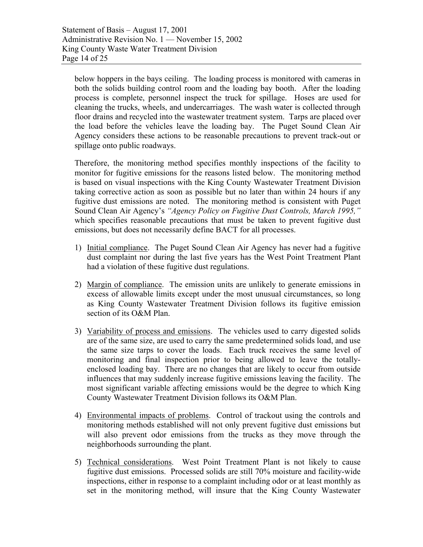below hoppers in the bays ceiling. The loading process is monitored with cameras in both the solids building control room and the loading bay booth. After the loading process is complete, personnel inspect the truck for spillage. Hoses are used for cleaning the trucks, wheels, and undercarriages. The wash water is collected through floor drains and recycled into the wastewater treatment system. Tarps are placed over the load before the vehicles leave the loading bay. The Puget Sound Clean Air Agency considers these actions to be reasonable precautions to prevent track-out or spillage onto public roadways.

Therefore, the monitoring method specifies monthly inspections of the facility to monitor for fugitive emissions for the reasons listed below. The monitoring method is based on visual inspections with the King County Wastewater Treatment Division taking corrective action as soon as possible but no later than within 24 hours if any fugitive dust emissions are noted. The monitoring method is consistent with Puget Sound Clean Air Agency's *"Agency Policy on Fugitive Dust Controls, March 1995,"*  which specifies reasonable precautions that must be taken to prevent fugitive dust emissions, but does not necessarily define BACT for all processes.

- 1) Initial compliance. The Puget Sound Clean Air Agency has never had a fugitive dust complaint nor during the last five years has the West Point Treatment Plant had a violation of these fugitive dust regulations.
- 2) Margin of compliance. The emission units are unlikely to generate emissions in excess of allowable limits except under the most unusual circumstances, so long as King County Wastewater Treatment Division follows its fugitive emission section of its O&M Plan.
- 3) Variability of process and emissions. The vehicles used to carry digested solids are of the same size, are used to carry the same predetermined solids load, and use the same size tarps to cover the loads. Each truck receives the same level of monitoring and final inspection prior to being allowed to leave the totallyenclosed loading bay. There are no changes that are likely to occur from outside influences that may suddenly increase fugitive emissions leaving the facility. The most significant variable affecting emissions would be the degree to which King County Wastewater Treatment Division follows its O&M Plan.
- 4) Environmental impacts of problems. Control of trackout using the controls and monitoring methods established will not only prevent fugitive dust emissions but will also prevent odor emissions from the trucks as they move through the neighborhoods surrounding the plant.
- 5) Technical considerations. West Point Treatment Plant is not likely to cause fugitive dust emissions. Processed solids are still 70% moisture and facility-wide inspections, either in response to a complaint including odor or at least monthly as set in the monitoring method, will insure that the King County Wastewater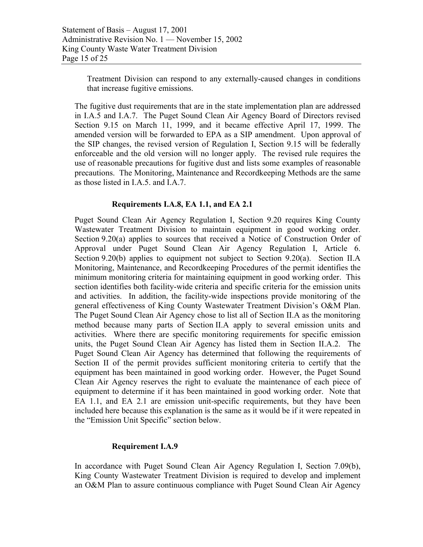Treatment Division can respond to any externally-caused changes in conditions that increase fugitive emissions.

The fugitive dust requirements that are in the state implementation plan are addressed in I.A.5 and I.A.7. The Puget Sound Clean Air Agency Board of Directors revised Section 9.15 on March 11, 1999, and it became effective April 17, 1999. The amended version will be forwarded to EPA as a SIP amendment. Upon approval of the SIP changes, the revised version of Regulation I, Section 9.15 will be federally enforceable and the old version will no longer apply. The revised rule requires the use of reasonable precautions for fugitive dust and lists some examples of reasonable precautions. The Monitoring, Maintenance and Recordkeeping Methods are the same as those listed in I.A.5. and I.A.7.

#### **Requirements I.A.8, EA 1.1, and EA 2.1**

Puget Sound Clean Air Agency Regulation I, Section 9.20 requires King County Wastewater Treatment Division to maintain equipment in good working order. Section 9.20(a) applies to sources that received a Notice of Construction Order of Approval under Puget Sound Clean Air Agency Regulation I, Article 6. Section 9.20(b) applies to equipment not subject to Section 9.20(a). Section II.A Monitoring, Maintenance, and Recordkeeping Procedures of the permit identifies the minimum monitoring criteria for maintaining equipment in good working order. This section identifies both facility-wide criteria and specific criteria for the emission units and activities. In addition, the facility-wide inspections provide monitoring of the general effectiveness of King County Wastewater Treatment Division's O&M Plan. The Puget Sound Clean Air Agency chose to list all of Section II.A as the monitoring method because many parts of Section II.A apply to several emission units and activities. Where there are specific monitoring requirements for specific emission units, the Puget Sound Clean Air Agency has listed them in Section II.A.2. The Puget Sound Clean Air Agency has determined that following the requirements of Section II of the permit provides sufficient monitoring criteria to certify that the equipment has been maintained in good working order. However, the Puget Sound Clean Air Agency reserves the right to evaluate the maintenance of each piece of equipment to determine if it has been maintained in good working order. Note that EA 1.1, and EA 2.1 are emission unit-specific requirements, but they have been included here because this explanation is the same as it would be if it were repeated in the "Emission Unit Specific" section below.

#### **Requirement I.A.9**

In accordance with Puget Sound Clean Air Agency Regulation I, Section 7.09(b), King County Wastewater Treatment Division is required to develop and implement an O&M Plan to assure continuous compliance with Puget Sound Clean Air Agency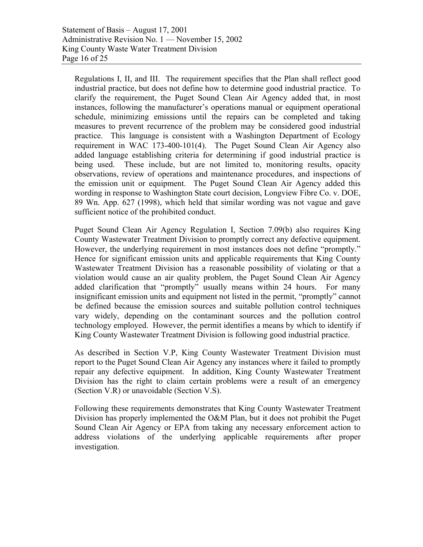Regulations I, II, and III. The requirement specifies that the Plan shall reflect good industrial practice, but does not define how to determine good industrial practice. To clarify the requirement, the Puget Sound Clean Air Agency added that, in most instances, following the manufacturer's operations manual or equipment operational schedule, minimizing emissions until the repairs can be completed and taking measures to prevent recurrence of the problem may be considered good industrial practice. This language is consistent with a Washington Department of Ecology requirement in WAC 173-400-101(4). The Puget Sound Clean Air Agency also added language establishing criteria for determining if good industrial practice is being used. These include, but are not limited to, monitoring results, opacity observations, review of operations and maintenance procedures, and inspections of the emission unit or equipment. The Puget Sound Clean Air Agency added this wording in response to Washington State court decision, Longview Fibre Co. v. DOE, 89 Wn. App. 627 (1998), which held that similar wording was not vague and gave sufficient notice of the prohibited conduct.

Puget Sound Clean Air Agency Regulation I, Section 7.09(b) also requires King County Wastewater Treatment Division to promptly correct any defective equipment. However, the underlying requirement in most instances does not define "promptly." Hence for significant emission units and applicable requirements that King County Wastewater Treatment Division has a reasonable possibility of violating or that a violation would cause an air quality problem, the Puget Sound Clean Air Agency added clarification that "promptly" usually means within 24 hours. For many insignificant emission units and equipment not listed in the permit, "promptly" cannot be defined because the emission sources and suitable pollution control techniques vary widely, depending on the contaminant sources and the pollution control technology employed. However, the permit identifies a means by which to identify if King County Wastewater Treatment Division is following good industrial practice.

As described in Section V.P, King County Wastewater Treatment Division must report to the Puget Sound Clean Air Agency any instances where it failed to promptly repair any defective equipment. In addition, King County Wastewater Treatment Division has the right to claim certain problems were a result of an emergency (Section V.R) or unavoidable (Section V.S).

Following these requirements demonstrates that King County Wastewater Treatment Division has properly implemented the O&M Plan, but it does not prohibit the Puget Sound Clean Air Agency or EPA from taking any necessary enforcement action to address violations of the underlying applicable requirements after proper investigation.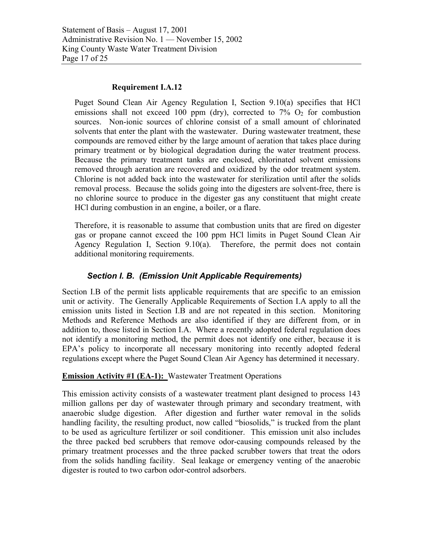Statement of Basis – August 17, 2001 Administrative Revision No. 1 — November 15, 2002 King County Waste Water Treatment Division Page 17 of 25

#### **Requirement I.A.12**

Puget Sound Clean Air Agency Regulation I, Section 9.10(a) specifies that HCl emissions shall not exceed 100 ppm (dry), corrected to  $7\%$  O<sub>2</sub> for combustion sources. Non-ionic sources of chlorine consist of a small amount of chlorinated solvents that enter the plant with the wastewater. During wastewater treatment, these compounds are removed either by the large amount of aeration that takes place during primary treatment or by biological degradation during the water treatment process. Because the primary treatment tanks are enclosed, chlorinated solvent emissions removed through aeration are recovered and oxidized by the odor treatment system. Chlorine is not added back into the wastewater for sterilization until after the solids removal process. Because the solids going into the digesters are solvent-free, there is no chlorine source to produce in the digester gas any constituent that might create HCl during combustion in an engine, a boiler, or a flare.

Therefore, it is reasonable to assume that combustion units that are fired on digester gas or propane cannot exceed the 100 ppm HCl limits in Puget Sound Clean Air Agency Regulation I, Section 9.10(a). Therefore, the permit does not contain additional monitoring requirements.

#### *Section I. B. (Emission Unit Applicable Requirements)*

Section I.B of the permit lists applicable requirements that are specific to an emission unit or activity. The Generally Applicable Requirements of Section I.A apply to all the emission units listed in Section I.B and are not repeated in this section. Monitoring Methods and Reference Methods are also identified if they are different from, or in addition to, those listed in Section I.A. Where a recently adopted federal regulation does not identify a monitoring method, the permit does not identify one either, because it is EPA's policy to incorporate all necessary monitoring into recently adopted federal regulations except where the Puget Sound Clean Air Agency has determined it necessary.

#### **Emission Activity #1 (EA-1):** Wastewater Treatment Operations

This emission activity consists of a wastewater treatment plant designed to process 143 million gallons per day of wastewater through primary and secondary treatment, with anaerobic sludge digestion. After digestion and further water removal in the solids handling facility, the resulting product, now called "biosolids," is trucked from the plant to be used as agriculture fertilizer or soil conditioner. This emission unit also includes the three packed bed scrubbers that remove odor-causing compounds released by the primary treatment processes and the three packed scrubber towers that treat the odors from the solids handling facility. Seal leakage or emergency venting of the anaerobic digester is routed to two carbon odor-control adsorbers.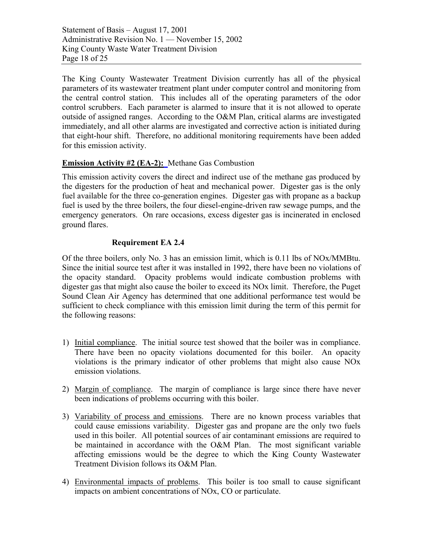Statement of Basis – August 17, 2001 Administrative Revision No. 1 — November 15, 2002 King County Waste Water Treatment Division Page 18 of 25

The King County Wastewater Treatment Division currently has all of the physical parameters of its wastewater treatment plant under computer control and monitoring from the central control station. This includes all of the operating parameters of the odor control scrubbers. Each parameter is alarmed to insure that it is not allowed to operate outside of assigned ranges. According to the O&M Plan, critical alarms are investigated immediately, and all other alarms are investigated and corrective action is initiated during that eight-hour shift. Therefore, no additional monitoring requirements have been added for this emission activity.

#### **Emission Activity #2 (EA-2):** Methane Gas Combustion

This emission activity covers the direct and indirect use of the methane gas produced by the digesters for the production of heat and mechanical power. Digester gas is the only fuel available for the three co-generation engines. Digester gas with propane as a backup fuel is used by the three boilers, the four diesel-engine-driven raw sewage pumps, and the emergency generators. On rare occasions, excess digester gas is incinerated in enclosed ground flares.

#### **Requirement EA 2.4**

Of the three boilers, only No. 3 has an emission limit, which is 0.11 lbs of NOx/MMBtu. Since the initial source test after it was installed in 1992, there have been no violations of the opacity standard. Opacity problems would indicate combustion problems with digester gas that might also cause the boiler to exceed its NOx limit. Therefore, the Puget Sound Clean Air Agency has determined that one additional performance test would be sufficient to check compliance with this emission limit during the term of this permit for the following reasons:

- 1) Initial compliance. The initial source test showed that the boiler was in compliance. There have been no opacity violations documented for this boiler. An opacity violations is the primary indicator of other problems that might also cause NOx emission violations.
- 2) Margin of compliance. The margin of compliance is large since there have never been indications of problems occurring with this boiler.
- 3) Variability of process and emissions. There are no known process variables that could cause emissions variability. Digester gas and propane are the only two fuels used in this boiler. All potential sources of air contaminant emissions are required to be maintained in accordance with the O&M Plan. The most significant variable affecting emissions would be the degree to which the King County Wastewater Treatment Division follows its O&M Plan.
- 4) Environmental impacts of problems. This boiler is too small to cause significant impacts on ambient concentrations of NOx, CO or particulate.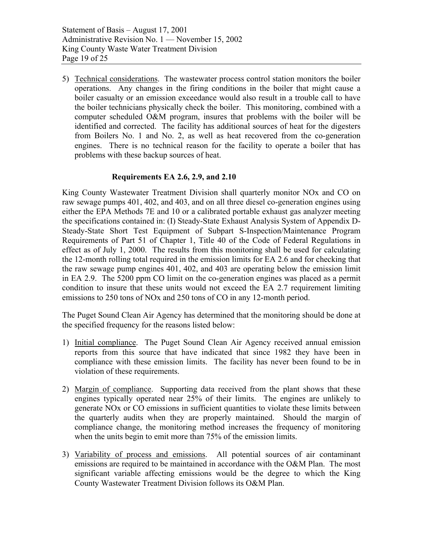5) Technical considerations. The wastewater process control station monitors the boiler operations. Any changes in the firing conditions in the boiler that might cause a boiler casualty or an emission exceedance would also result in a trouble call to have the boiler technicians physically check the boiler. This monitoring, combined with a computer scheduled O&M program, insures that problems with the boiler will be identified and corrected. The facility has additional sources of heat for the digesters from Boilers No. 1 and No. 2, as well as heat recovered from the co-generation engines. There is no technical reason for the facility to operate a boiler that has problems with these backup sources of heat.

#### **Requirements EA 2.6, 2.9, and 2.10**

King County Wastewater Treatment Division shall quarterly monitor NOx and CO on raw sewage pumps 401, 402, and 403, and on all three diesel co-generation engines using either the EPA Methods 7E and 10 or a calibrated portable exhaust gas analyzer meeting the specifications contained in: (I) Steady-State Exhaust Analysis System of Appendix D-Steady-State Short Test Equipment of Subpart S-Inspection/Maintenance Program Requirements of Part 51 of Chapter 1, Title 40 of the Code of Federal Regulations in effect as of July 1, 2000. The results from this monitoring shall be used for calculating the 12-month rolling total required in the emission limits for EA 2.6 and for checking that the raw sewage pump engines 401, 402, and 403 are operating below the emission limit in EA 2.9. The 5200 ppm CO limit on the co-generation engines was placed as a permit condition to insure that these units would not exceed the EA 2.7 requirement limiting emissions to 250 tons of NOx and 250 tons of CO in any 12-month period.

The Puget Sound Clean Air Agency has determined that the monitoring should be done at the specified frequency for the reasons listed below:

- 1) Initial compliance. The Puget Sound Clean Air Agency received annual emission reports from this source that have indicated that since 1982 they have been in compliance with these emission limits. The facility has never been found to be in violation of these requirements.
- 2) Margin of compliance. Supporting data received from the plant shows that these engines typically operated near 25% of their limits. The engines are unlikely to generate NOx or CO emissions in sufficient quantities to violate these limits between the quarterly audits when they are properly maintained. Should the margin of compliance change, the monitoring method increases the frequency of monitoring when the units begin to emit more than 75% of the emission limits.
- 3) Variability of process and emissions. All potential sources of air contaminant emissions are required to be maintained in accordance with the O&M Plan. The most significant variable affecting emissions would be the degree to which the King County Wastewater Treatment Division follows its O&M Plan.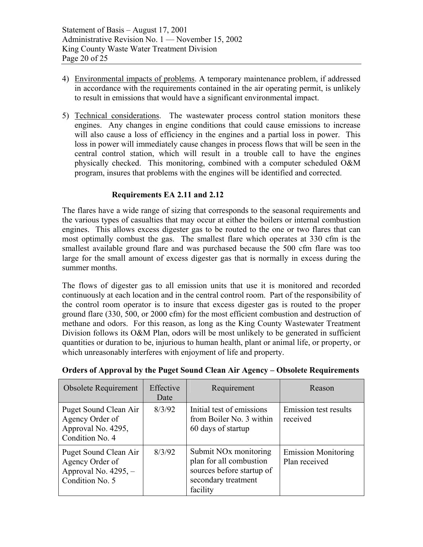- 4) Environmental impacts of problems. A temporary maintenance problem, if addressed in accordance with the requirements contained in the air operating permit, is unlikely to result in emissions that would have a significant environmental impact.
- 5) Technical considerations. The wastewater process control station monitors these engines. Any changes in engine conditions that could cause emissions to increase will also cause a loss of efficiency in the engines and a partial loss in power. This loss in power will immediately cause changes in process flows that will be seen in the central control station, which will result in a trouble call to have the engines physically checked. This monitoring, combined with a computer scheduled O&M program, insures that problems with the engines will be identified and corrected.

#### **Requirements EA 2.11 and 2.12**

The flares have a wide range of sizing that corresponds to the seasonal requirements and the various types of casualties that may occur at either the boilers or internal combustion engines. This allows excess digester gas to be routed to the one or two flares that can most optimally combust the gas. The smallest flare which operates at 330 cfm is the smallest available ground flare and was purchased because the 500 cfm flare was too large for the small amount of excess digester gas that is normally in excess during the summer months.

The flows of digester gas to all emission units that use it is monitored and recorded continuously at each location and in the central control room. Part of the responsibility of the control room operator is to insure that excess digester gas is routed to the proper ground flare (330, 500, or 2000 cfm) for the most efficient combustion and destruction of methane and odors. For this reason, as long as the King County Wastewater Treatment Division follows its O&M Plan, odors will be most unlikely to be generated in sufficient quantities or duration to be, injurious to human health, plant or animal life, or property, or which unreasonably interferes with enjoyment of life and property.

| <b>Obsolete Requirement</b>                                                           | Effective<br>Date | Requirement                                                                                                                  | Reason                                      |
|---------------------------------------------------------------------------------------|-------------------|------------------------------------------------------------------------------------------------------------------------------|---------------------------------------------|
| Puget Sound Clean Air<br>Agency Order of<br>Approval No. 4295,<br>Condition No. 4     | 8/3/92            | Initial test of emissions<br>from Boiler No. 3 within<br>60 days of startup                                                  | Emission test results<br>received           |
| Puget Sound Clean Air<br>Agency Order of<br>Approval No. $4295, -$<br>Condition No. 5 | 8/3/92            | Submit NO <sub>x</sub> monitoring<br>plan for all combustion<br>sources before startup of<br>secondary treatment<br>facility | <b>Emission Monitoring</b><br>Plan received |

#### **Orders of Approval by the Puget Sound Clean Air Agency – Obsolete Requirements**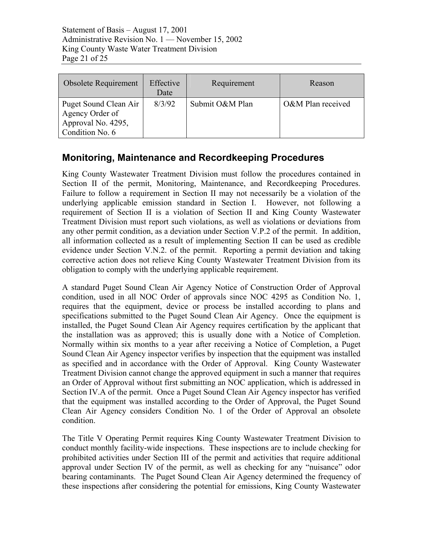Statement of Basis – August 17, 2001 Administrative Revision No. 1 — November 15, 2002 King County Waste Water Treatment Division Page 21 of 25

| <b>Obsolete Requirement</b>                                                       | Effective<br>Date | Requirement     | Reason            |
|-----------------------------------------------------------------------------------|-------------------|-----------------|-------------------|
| Puget Sound Clean Air<br>Agency Order of<br>Approval No. 4295,<br>Condition No. 6 | 8/3/92            | Submit O&M Plan | O&M Plan received |

## **Monitoring, Maintenance and Recordkeeping Procedures**

King County Wastewater Treatment Division must follow the procedures contained in Section II of the permit, Monitoring, Maintenance, and Recordkeeping Procedures. Failure to follow a requirement in Section II may not necessarily be a violation of the underlying applicable emission standard in Section I. However, not following a requirement of Section II is a violation of Section II and King County Wastewater Treatment Division must report such violations, as well as violations or deviations from any other permit condition, as a deviation under Section V.P.2 of the permit. In addition, all information collected as a result of implementing Section II can be used as credible evidence under Section V.N.2. of the permit. Reporting a permit deviation and taking corrective action does not relieve King County Wastewater Treatment Division from its obligation to comply with the underlying applicable requirement.

A standard Puget Sound Clean Air Agency Notice of Construction Order of Approval condition, used in all NOC Order of approvals since NOC 4295 as Condition No. 1, requires that the equipment, device or process be installed according to plans and specifications submitted to the Puget Sound Clean Air Agency. Once the equipment is installed, the Puget Sound Clean Air Agency requires certification by the applicant that the installation was as approved; this is usually done with a Notice of Completion. Normally within six months to a year after receiving a Notice of Completion, a Puget Sound Clean Air Agency inspector verifies by inspection that the equipment was installed as specified and in accordance with the Order of Approval. King County Wastewater Treatment Division cannot change the approved equipment in such a manner that requires an Order of Approval without first submitting an NOC application, which is addressed in Section IV.A of the permit. Once a Puget Sound Clean Air Agency inspector has verified that the equipment was installed according to the Order of Approval, the Puget Sound Clean Air Agency considers Condition No. 1 of the Order of Approval an obsolete condition.

The Title V Operating Permit requires King County Wastewater Treatment Division to conduct monthly facility-wide inspections. These inspections are to include checking for prohibited activities under Section III of the permit and activities that require additional approval under Section IV of the permit, as well as checking for any "nuisance" odor bearing contaminants. The Puget Sound Clean Air Agency determined the frequency of these inspections after considering the potential for emissions, King County Wastewater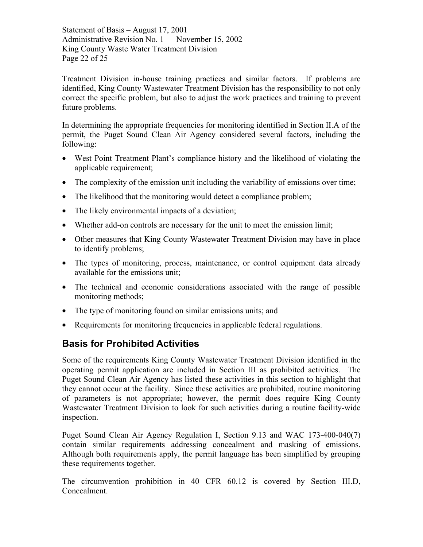Treatment Division in-house training practices and similar factors. If problems are identified, King County Wastewater Treatment Division has the responsibility to not only correct the specific problem, but also to adjust the work practices and training to prevent future problems.

In determining the appropriate frequencies for monitoring identified in Section II.A of the permit, the Puget Sound Clean Air Agency considered several factors, including the following:

- West Point Treatment Plant's compliance history and the likelihood of violating the applicable requirement;
- The complexity of the emission unit including the variability of emissions over time;
- The likelihood that the monitoring would detect a compliance problem;
- The likely environmental impacts of a deviation;
- Whether add-on controls are necessary for the unit to meet the emission limit;
- Other measures that King County Wastewater Treatment Division may have in place to identify problems;
- The types of monitoring, process, maintenance, or control equipment data already available for the emissions unit;
- The technical and economic considerations associated with the range of possible monitoring methods;
- The type of monitoring found on similar emissions units; and
- Requirements for monitoring frequencies in applicable federal regulations.

## **Basis for Prohibited Activities**

Some of the requirements King County Wastewater Treatment Division identified in the operating permit application are included in Section III as prohibited activities. The Puget Sound Clean Air Agency has listed these activities in this section to highlight that they cannot occur at the facility. Since these activities are prohibited, routine monitoring of parameters is not appropriate; however, the permit does require King County Wastewater Treatment Division to look for such activities during a routine facility-wide inspection.

Puget Sound Clean Air Agency Regulation I, Section 9.13 and WAC 173-400-040(7) contain similar requirements addressing concealment and masking of emissions. Although both requirements apply, the permit language has been simplified by grouping these requirements together.

The circumvention prohibition in 40 CFR 60.12 is covered by Section III.D, Concealment.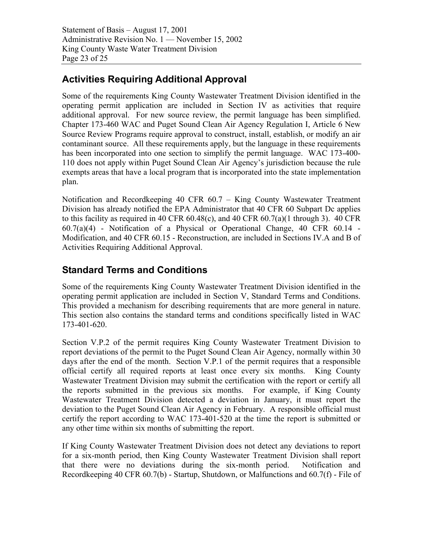Statement of Basis – August 17, 2001 Administrative Revision No. 1 — November 15, 2002 King County Waste Water Treatment Division Page 23 of 25

## **Activities Requiring Additional Approval**

Some of the requirements King County Wastewater Treatment Division identified in the operating permit application are included in Section IV as activities that require additional approval. For new source review, the permit language has been simplified. Chapter 173-460 WAC and Puget Sound Clean Air Agency Regulation I, Article 6 New Source Review Programs require approval to construct, install, establish, or modify an air contaminant source. All these requirements apply, but the language in these requirements has been incorporated into one section to simplify the permit language. WAC 173-400- 110 does not apply within Puget Sound Clean Air Agency's jurisdiction because the rule exempts areas that have a local program that is incorporated into the state implementation plan.

Notification and Recordkeeping 40 CFR 60.7 – King County Wastewater Treatment Division has already notified the EPA Administrator that 40 CFR 60 Subpart Dc applies to this facility as required in 40 CFR 60.48(c), and 40 CFR 60.7(a)(1 through 3). 40 CFR 60.7(a)(4) - Notification of a Physical or Operational Change, 40 CFR 60.14 - Modification, and 40 CFR 60.15 - Reconstruction, are included in Sections IV.A and B of Activities Requiring Additional Approval.

## **Standard Terms and Conditions**

Some of the requirements King County Wastewater Treatment Division identified in the operating permit application are included in Section V, Standard Terms and Conditions. This provided a mechanism for describing requirements that are more general in nature. This section also contains the standard terms and conditions specifically listed in WAC 173-401-620.

Section V.P.2 of the permit requires King County Wastewater Treatment Division to report deviations of the permit to the Puget Sound Clean Air Agency, normally within 30 days after the end of the month. Section V.P.1 of the permit requires that a responsible official certify all required reports at least once every six months. King County Wastewater Treatment Division may submit the certification with the report or certify all the reports submitted in the previous six months. For example, if King County Wastewater Treatment Division detected a deviation in January, it must report the deviation to the Puget Sound Clean Air Agency in February. A responsible official must certify the report according to WAC 173-401-520 at the time the report is submitted or any other time within six months of submitting the report.

If King County Wastewater Treatment Division does not detect any deviations to report for a six-month period, then King County Wastewater Treatment Division shall report that there were no deviations during the six-month period. Notification and Recordkeeping 40 CFR 60.7(b) - Startup, Shutdown, or Malfunctions and 60.7(f) - File of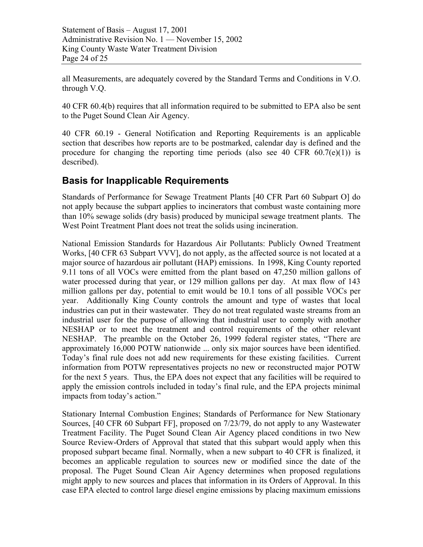Statement of Basis – August 17, 2001 Administrative Revision No. 1 — November 15, 2002 King County Waste Water Treatment Division Page 24 of 25

all Measurements, are adequately covered by the Standard Terms and Conditions in V.O. through V.Q.

40 CFR 60.4(b) requires that all information required to be submitted to EPA also be sent to the Puget Sound Clean Air Agency.

40 CFR 60.19 - General Notification and Reporting Requirements is an applicable section that describes how reports are to be postmarked, calendar day is defined and the procedure for changing the reporting time periods (also see 40 CFR  $60.7(e)(1)$ ) is described).

## **Basis for Inapplicable Requirements**

Standards of Performance for Sewage Treatment Plants [40 CFR Part 60 Subpart O] do not apply because the subpart applies to incinerators that combust waste containing more than 10% sewage solids (dry basis) produced by municipal sewage treatment plants. The West Point Treatment Plant does not treat the solids using incineration.

National Emission Standards for Hazardous Air Pollutants: Publicly Owned Treatment Works, [40 CFR 63 Subpart VVV], do not apply, as the affected source is not located at a major source of hazardous air pollutant (HAP) emissions. In 1998, King County reported 9.11 tons of all VOCs were emitted from the plant based on 47,250 million gallons of water processed during that year, or 129 million gallons per day. At max flow of 143 million gallons per day, potential to emit would be 10.1 tons of all possible VOCs per year. Additionally King County controls the amount and type of wastes that local industries can put in their wastewater. They do not treat regulated waste streams from an industrial user for the purpose of allowing that industrial user to comply with another NESHAP or to meet the treatment and control requirements of the other relevant NESHAP. The preamble on the October 26, 1999 federal register states, "There are approximately 16,000 POTW nationwide ... only six major sources have been identified. Today's final rule does not add new requirements for these existing facilities. Current information from POTW representatives projects no new or reconstructed major POTW for the next 5 years. Thus, the EPA does not expect that any facilities will be required to apply the emission controls included in today's final rule, and the EPA projects minimal impacts from today's action."

Stationary Internal Combustion Engines; Standards of Performance for New Stationary Sources, [40 CFR 60 Subpart FF], proposed on 7/23/79, do not apply to any Wastewater Treatment Facility. The Puget Sound Clean Air Agency placed conditions in two New Source Review-Orders of Approval that stated that this subpart would apply when this proposed subpart became final. Normally, when a new subpart to 40 CFR is finalized, it becomes an applicable regulation to sources new or modified since the date of the proposal. The Puget Sound Clean Air Agency determines when proposed regulations might apply to new sources and places that information in its Orders of Approval. In this case EPA elected to control large diesel engine emissions by placing maximum emissions